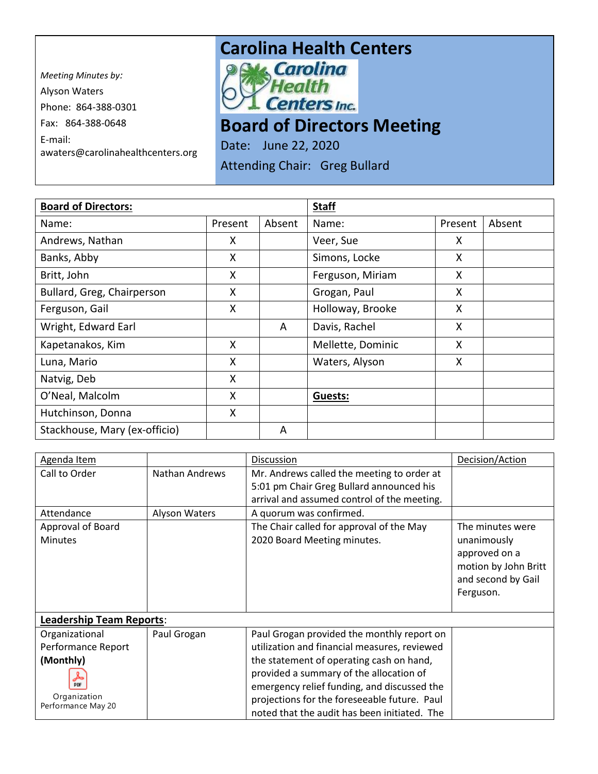*Meeting Minutes by:*  Alyson Waters Phone: 864-388-0301 Fax: 864-388-0648 E-mail: awaters@carolinahealthcenters.org

## **Carolina Health Centers**<br> **Pows Carolina**



## **Board of Directors Meeting**

Date: June 22, 2020

Attending Chair: Greg Bullard

| <b>Board of Directors:</b>    |         |        | <b>Staff</b>      |         |        |
|-------------------------------|---------|--------|-------------------|---------|--------|
| Name:                         | Present | Absent | Name:             | Present | Absent |
| Andrews, Nathan               | X       |        | Veer, Sue         | X       |        |
| Banks, Abby                   | X       |        | Simons, Locke     | X       |        |
| Britt, John                   | X       |        | Ferguson, Miriam  | X       |        |
| Bullard, Greg, Chairperson    | Χ       |        | Grogan, Paul      | X       |        |
| Ferguson, Gail                | X       |        | Holloway, Brooke  | X       |        |
| Wright, Edward Earl           |         | A      | Davis, Rachel     | X       |        |
| Kapetanakos, Kim              | X       |        | Mellette, Dominic | X       |        |
| Luna, Mario                   | Χ       |        | Waters, Alyson    | X.      |        |
| Natvig, Deb                   | X       |        |                   |         |        |
| O'Neal, Malcolm               | X       |        | Guests:           |         |        |
| Hutchinson, Donna             | X       |        |                   |         |        |
| Stackhouse, Mary (ex-officio) |         | A      |                   |         |        |

| Agenda Item                        |                       | Discussion                                   | Decision/Action      |
|------------------------------------|-----------------------|----------------------------------------------|----------------------|
| Call to Order                      | <b>Nathan Andrews</b> | Mr. Andrews called the meeting to order at   |                      |
|                                    |                       | 5:01 pm Chair Greg Bullard announced his     |                      |
|                                    |                       | arrival and assumed control of the meeting.  |                      |
| Attendance                         | Alyson Waters         | A quorum was confirmed.                      |                      |
| Approval of Board                  |                       | The Chair called for approval of the May     | The minutes were     |
| <b>Minutes</b>                     |                       | 2020 Board Meeting minutes.                  | unanimously          |
|                                    |                       |                                              | approved on a        |
|                                    |                       |                                              | motion by John Britt |
|                                    |                       |                                              | and second by Gail   |
|                                    |                       |                                              | Ferguson.            |
|                                    |                       |                                              |                      |
| <b>Leadership Team Reports:</b>    |                       |                                              |                      |
| Organizational                     | Paul Grogan           | Paul Grogan provided the monthly report on   |                      |
| Performance Report                 |                       | utilization and financial measures, reviewed |                      |
| (Monthly)                          |                       | the statement of operating cash on hand,     |                      |
| y                                  |                       | provided a summary of the allocation of      |                      |
| <b>PDF</b>                         |                       | emergency relief funding, and discussed the  |                      |
| Organization<br>Performance May 20 |                       | projections for the foreseeable future. Paul |                      |
|                                    |                       | noted that the audit has been initiated. The |                      |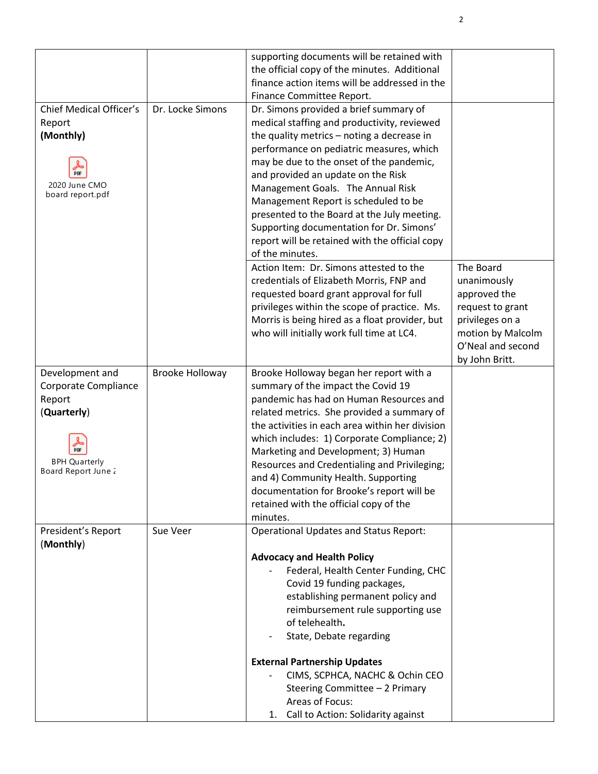|                         |                  | supporting documents will be retained with                  |                                     |
|-------------------------|------------------|-------------------------------------------------------------|-------------------------------------|
|                         |                  | the official copy of the minutes. Additional                |                                     |
|                         |                  | finance action items will be addressed in the               |                                     |
|                         |                  | Finance Committee Report.                                   |                                     |
| Chief Medical Officer's | Dr. Locke Simons | Dr. Simons provided a brief summary of                      |                                     |
| Report                  |                  | medical staffing and productivity, reviewed                 |                                     |
| (Monthly)               |                  | the quality metrics - noting a decrease in                  |                                     |
|                         |                  | performance on pediatric measures, which                    |                                     |
|                         |                  | may be due to the onset of the pandemic,                    |                                     |
| PDF                     |                  | and provided an update on the Risk                          |                                     |
| 2020 June CMO           |                  | Management Goals. The Annual Risk                           |                                     |
| board report.pdf        |                  | Management Report is scheduled to be                        |                                     |
|                         |                  | presented to the Board at the July meeting.                 |                                     |
|                         |                  | Supporting documentation for Dr. Simons'                    |                                     |
|                         |                  | report will be retained with the official copy              |                                     |
|                         |                  | of the minutes.                                             |                                     |
|                         |                  | Action Item: Dr. Simons attested to the                     | The Board                           |
|                         |                  | credentials of Elizabeth Morris, FNP and                    | unanimously                         |
|                         |                  | requested board grant approval for full                     | approved the                        |
|                         |                  | privileges within the scope of practice. Ms.                |                                     |
|                         |                  | Morris is being hired as a float provider, but              | request to grant<br>privileges on a |
|                         |                  | who will initially work full time at LC4.                   | motion by Malcolm                   |
|                         |                  |                                                             | O'Neal and second                   |
|                         |                  |                                                             | by John Britt.                      |
| Development and         | Brooke Holloway  | Brooke Holloway began her report with a                     |                                     |
| Corporate Compliance    |                  | summary of the impact the Covid 19                          |                                     |
| Report                  |                  | pandemic has had on Human Resources and                     |                                     |
| (Quarterly)             |                  | related metrics. She provided a summary of                  |                                     |
|                         |                  | the activities in each area within her division             |                                     |
|                         |                  | which includes: 1) Corporate Compliance; 2)                 |                                     |
| PDF                     |                  | Marketing and Development; 3) Human                         |                                     |
| <b>BPH Quarterly</b>    |                  | Resources and Credentialing and Privileging;                |                                     |
| Board Report June 2     |                  | and 4) Community Health. Supporting                         |                                     |
|                         |                  | documentation for Brooke's report will be                   |                                     |
|                         |                  | retained with the official copy of the                      |                                     |
|                         |                  | minutes.                                                    |                                     |
| President's Report      | Sue Veer         | <b>Operational Updates and Status Report:</b>               |                                     |
| (Monthly)               |                  |                                                             |                                     |
|                         |                  | <b>Advocacy and Health Policy</b>                           |                                     |
|                         |                  | Federal, Health Center Funding, CHC                         |                                     |
|                         |                  | Covid 19 funding packages,                                  |                                     |
|                         |                  | establishing permanent policy and                           |                                     |
|                         |                  | reimbursement rule supporting use                           |                                     |
|                         |                  | of telehealth.                                              |                                     |
|                         |                  | State, Debate regarding                                     |                                     |
|                         |                  | <b>External Partnership Updates</b>                         |                                     |
|                         |                  | CIMS, SCPHCA, NACHC & Ochin CEO                             |                                     |
|                         |                  | Steering Committee - 2 Primary                              |                                     |
|                         |                  |                                                             |                                     |
|                         |                  |                                                             |                                     |
|                         |                  | Areas of Focus:<br>Call to Action: Solidarity against<br>1. |                                     |

2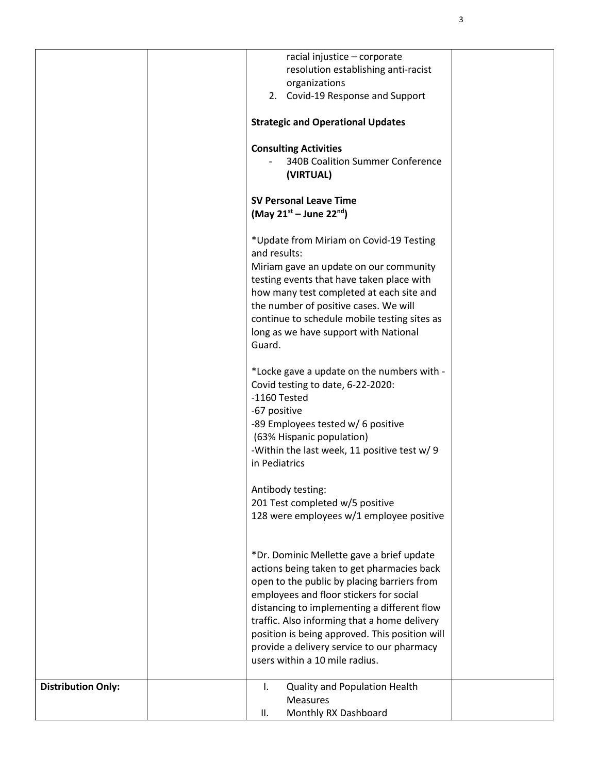|                           | organizations                                                      | racial injustice - corporate<br>resolution establishing anti-racist                         |
|---------------------------|--------------------------------------------------------------------|---------------------------------------------------------------------------------------------|
|                           |                                                                    | 2. Covid-19 Response and Support                                                            |
|                           | <b>Strategic and Operational Updates</b>                           |                                                                                             |
|                           | <b>Consulting Activities</b>                                       | <b>340B Coalition Summer Conference</b>                                                     |
|                           | (VIRTUAL)                                                          |                                                                                             |
|                           | <b>SV Personal Leave Time</b><br>(May $21^{st}$ – June $22^{nd}$ ) |                                                                                             |
|                           | and results:                                                       | *Update from Miriam on Covid-19 Testing                                                     |
|                           |                                                                    | Miriam gave an update on our community<br>testing events that have taken place with         |
|                           |                                                                    | how many test completed at each site and                                                    |
|                           |                                                                    | the number of positive cases. We will<br>continue to schedule mobile testing sites as       |
|                           | Guard.                                                             | long as we have support with National                                                       |
|                           | Covid testing to date, 6-22-2020:<br>-1160 Tested                  | *Locke gave a update on the numbers with -                                                  |
|                           | -67 positive                                                       |                                                                                             |
|                           | -89 Employees tested w/ 6 positive<br>(63% Hispanic population)    |                                                                                             |
|                           | in Pediatrics                                                      | -Within the last week, 11 positive test w/ 9                                                |
|                           | Antibody testing:                                                  |                                                                                             |
|                           | 201 Test completed w/5 positive                                    | 128 were employees w/1 employee positive                                                    |
|                           |                                                                    | *Dr. Dominic Mellette gave a brief update                                                   |
|                           |                                                                    | actions being taken to get pharmacies back                                                  |
|                           |                                                                    | open to the public by placing barriers from<br>employees and floor stickers for social      |
|                           |                                                                    | distancing to implementing a different flow<br>traffic. Also informing that a home delivery |
|                           |                                                                    | position is being approved. This position will                                              |
|                           | users within a 10 mile radius.                                     | provide a delivery service to our pharmacy                                                  |
|                           |                                                                    |                                                                                             |
| <b>Distribution Only:</b> | Τ.<br><b>Measures</b>                                              | Quality and Population Health                                                               |
|                           | Ш.                                                                 | Monthly RX Dashboard                                                                        |